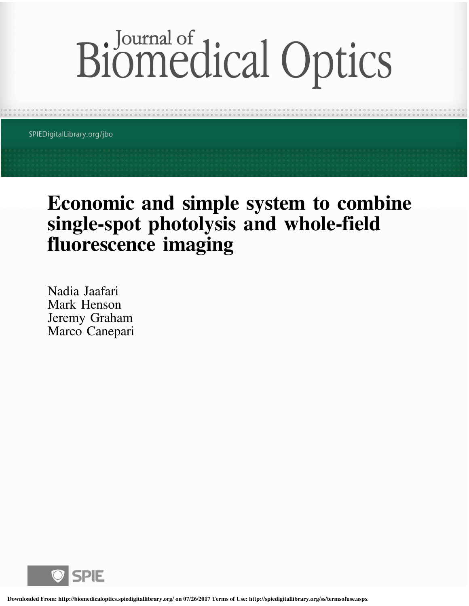# Biomedical Optics

SPIEDigitalLibrary.org/jbo

## Economic and simple system to combine single-spot photolysis and whole-field fluorescence imaging

Nadia Jaafari Mark Henson Jeremy Graham Marco Canepari

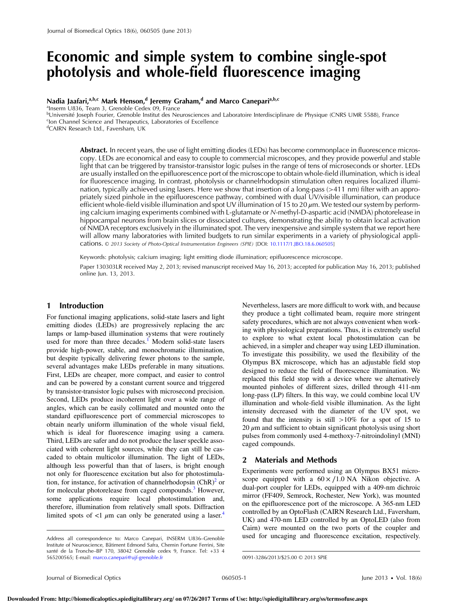### Economic and simple system to combine single-spot photolysis and whole-field fluorescence imaging

#### Nadia Jaafari,<sup>a,b,c</sup> Mark Henson,<sup>d</sup> Jeremy Graham,<sup>d</sup> and Marco Canepari<sup>a,b,c</sup>

a Inserm U836, Team 3, Grenoble Cedex 09, France b Université Joseph Fourier, Grenoble Institut des Neurosciences and Laboratoire Interdisciplinare de Physique (CNRS UMR 5588), France <sup>c</sup>lon Channel Science and Therapeutics, Laboratories of Excellence

d CAIRN Research Ltd., Faversham, UK

Abstract. In recent years, the use of light emitting diodes (LEDs) has become commonplace in fluorescence microscopy. LEDs are economical and easy to couple to commercial microscopes, and they provide powerful and stable light that can be triggered by transistor-transistor logic pulses in the range of tens of microseconds or shorter. LEDs are usually installed on the epifluorescence port of the microscope to obtain whole-field illumination, which is ideal for fluorescence imaging. In contrast, photolysis or channelrhodopsin stimulation often requires localized illumination, typically achieved using lasers. Here we show that insertion of a long-pass (>411 nm) filter with an appropriately sized pinhole in the epifluorescence pathway, combined with dual UV/visible illumination, can produce efficient whole-field visible illumination and spot UV illumination of 15 to 20  $\mu$ m. We tested our system by performing calcium imaging experiments combined with L-glutamate or N-methyl-D-aspartic acid (NMDA) photorelease in hippocampal neurons from brain slices or dissociated cultures, demonstrating the ability to obtain local activation of NMDA receptors exclusively in the illuminated spot. The very inexpensive and simple system that we report here will allow many laboratories with limited budgets to run similar experiments in a variety of physiological applications. © 2013 Society of Photo-Optical Instrumentation Engineers (SPIE) [DOI: 10.1117/1.JBO.18.6.060505]

Keywords: photolysis; calcium imaging; light emitting diode illumination; epifluorescence microscope.

Paper 130303LR received May 2, 2013; revised manuscript received May 16, 2013; accepted for publication May 16, 2013; published online Jun. 13, 2013.

#### 1 Introduction

For functional imaging applications, solid-state lasers and light emitting diodes (LEDs) are progressively replacing the arc lamps or lamp-based illumination systems that were routinely used for more than three decades.<sup>1</sup> Modern solid-state lasers provide high-power, stable, and monochromatic illumination, but despite typically delivering fewer photons to the sample, several advantages make LEDs preferable in many situations. First, LEDs are cheaper, more compact, and easier to control and can be powered by a constant current source and triggered by transistor-transistor logic pulses with microsecond precision. Second, LEDs produce incoherent light over a wide range of angles, which can be easily collimated and mounted onto the standard epifluorescence port of commercial microscopes to obtain nearly uniform illumination of the whole visual field, which is ideal for fluorescence imaging using a camera. Third, LEDs are safer and do not produce the laser speckle associated with coherent light sources, while they can still be cascaded to obtain multicolor illumination. The light of LEDs, although less powerful than that of lasers, is bright enough not only for fluorescence excitation but also for photostimulation, for instance, for activation of channelrhodopsin  $(ChR)^2$  or for molecular photorelease from caged compounds.<sup>3</sup> However, some applications require local photostimulation and, therefore, illumination from relatively small spots. Diffraction limited spots of  $\langle 1 \mu m \rangle$  can only be generated using a laser.<sup>4</sup>

Nevertheless, lasers are more difficult to work with, and because they produce a tight collimated beam, require more stringent safety procedures, which are not always convenient when working with physiological preparations. Thus, it is extremely useful to explore to what extent local photostimulation can be achieved, in a simpler and cheaper way using LED illumination. To investigate this possibility, we used the flexibility of the Olympus BX microscope, which has an adjustable field stop designed to reduce the field of fluorescence illumination. We replaced this field stop with a device where we alternatively mounted pinholes of different sizes, drilled through 411-nm long-pass (LP) filters. In this way, we could combine local UV illumination and whole-field visible illumination. As the light intensity decreased with the diameter of the UV spot, we found that the intensity is still  $>10\%$  for a spot of 15 to  $20 \mu$ m and sufficient to obtain significant photolysis using short pulses from commonly used 4-methoxy-7-nitroindolinyl (MNI) caged compounds.

#### 2 Materials and Methods

Experiments were performed using an Olympus BX51 microscope equipped with a  $60 \times /1.0$  NA Nikon objective. A dual-port coupler for LEDs, equipped with a 409-nm dichroic mirror (FF409, Semrock, Rochester, New York), was mounted on the epifluorescence port of the microscope. A 365-nm LED controlled by an OptoFlash (CAIRN Research Ltd., Faversham, UK) and 470-nm LED controlled by an OptoLED (also from Cairn) were mounted on the two ports of the coupler and Address all correspondence to: Marco Canepari, INSERM U836-Grenoble used for uncaging and fluorescence excitation, respectively.

Institute of Neuroscience, Bâtiment Edmond Safra, Chemin Fortune Ferrini, Site santé de la Tronche–BP 170, 38042 Grenoble cedex 9, France. Tel: +33 4 565200565; E-mail: marco.canepari@ujf-grenoble.fr 0091-3286/2013/\$25.00 © 2013 SPIE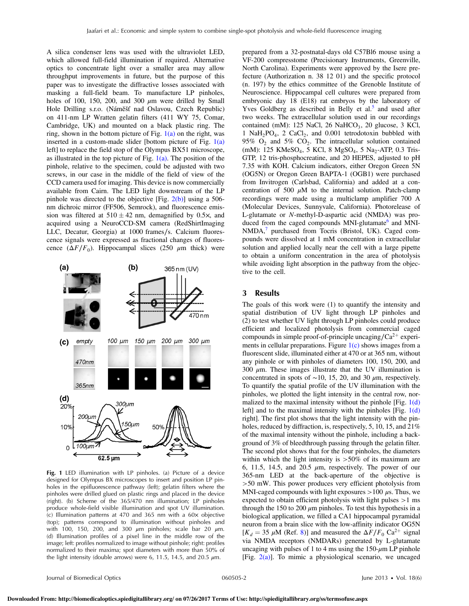A silica condenser lens was used with the ultraviolet LED, which allowed full-field illumination if required. Alternative optics to concentrate light over a smaller area may allow throughput improvements in future, but the purpose of this paper was to investigate the diffractive losses associated with masking a full-field beam. To manufacture LP pinholes, holes of 100, 150, 200, and 300  $\mu$ m were drilled by Small Hole Drilling s.r.o. (Náměšť nad Oslavou, Czech Republic) on 411-nm LP Wratten gelatin filters (411 WY 75, Comar, Cambridge, UK) and mounted on a black plastic ring. The ring, shown in the bottom picture of Fig.  $1(a)$  on the right, was inserted in a custom-made slider [bottom picture of Fig.  $1(a)$ ] left] to replace the field stop of the Olympus BX51 microscope, as illustrated in the top picture of Fig.  $1(a)$ . The position of the pinhole, relative to the specimen, could be adjusted with two screws, in our case in the middle of the field of view of the CCD camera used for imaging. This device is now commercially available from Cairn. The LED light downstream of the LP pinhole was directed to the objective [Fig.  $2(b)$ ] using a 506nm dichroic mirror (FF506, Semrock), and fluorescence emission was filtered at  $510 \pm 42$  nm, demagnified by 0.5 $\times$ , and acquired using a NeuroCCD-SM camera (RedShirtImaging LLC, Decatur, Georgia) at 1000 frames∕s. Calcium fluorescence signals were expressed as fractional changes of fluorescence  $(\Delta F/F_0)$ . Hippocampal slices (250 μm thick) were



Fig. 1 LED illumination with LP pinholes. (a) Picture of a device designed for Olympus BX microscopes to insert and position LP pinholes in the epifluorescence pathway (left); gelatin filters where the pinholes were drilled glued on plastic rings and placed in the device (right). (b) Scheme of the 365/470 nm illumination; LP pinholes produce whole-field visible illumination and spot UV illumination. (c) Illumination patterns at 470 and 365 nm with a 60× objective (top); patterns correspond to illumination without pinholes and with 100, 150, 200, and 300  $\mu$ m pinholes; scale bar 20  $\mu$ m. (d) Illumination profiles of a pixel line in the middle row of the image; left: profiles normalized to image without pinhole; right: profiles normalized to their maxima; spot diameters with more than 50% of the light intensity (double arrows) were 6, 11.5, 14.5, and 20.5  $\mu$ m.

prepared from a 32-postnatal-days old C57Bl6 mouse using a VF-200 compresstome (Precisionary Instruments, Greenville, North Carolina). Experiments were approved by the Isere prefecture (Authorization n. 38 12 01) and the specific protocol (n. 197) by the ethics committee of the Grenoble Institute of Neuroscience. Hippocampal cell cultures were prepared from embryonic day 18 (E18) rat embryos by the laboratory of Yves Goldberg as described in Belly et al.<sup>5</sup> and used after two weeks. The extracellular solution used in our recordings contained (mM):  $125$  NaCl,  $26$  NaHCO<sub>3</sub>,  $20$  glucose,  $3$  KCl, 1 NaH<sub>2</sub>PO<sub>4</sub>, 2 CaCl<sub>2</sub>, and 0.001 tetrodotoxin bubbled with 95%  $O_2$  and 5%  $CO_2$ . The intracellular solution contained (mM): 125 KMeSO<sub>4</sub>, 5 KCl, 8 MgSO<sub>4</sub>, 5 Na<sub>2</sub>-ATP, 0.3 Tris-GTP, 12 tris-phosphocreatine, and 20 HEPES, adjusted to pH 7.35 with KOH. Calcium indicators, either Oregon Green 5N (OG5N) or Oregon Green BAPTA-1 (OGB1) were purchased from Invitrogen (Carlsbad, California) and added at a concentration of 500  $\mu$ M to the internal solution. Patch-clamp recordings were made using a multiclamp amplifier 700 A (Molecular Devices, Sunnyvale, California). Photorelease of L-glutamate or N-methyl-D-aspartic acid (NMDA) was produced from the caged compounds MNI-glutamate $<sup>6</sup>$  and MNI-</sup> NMDA,<sup>7</sup> purchased from Tocris (Bristol, UK). Caged compounds were dissolved at 1 mM concentration in extracellular solution and applied locally near the cell with a large pipette to obtain a uniform concentration in the area of photolysis while avoiding light absorption in the pathway from the objective to the cell.

#### 3 Results

The goals of this work were (1) to quantify the intensity and spatial distribution of UV light through LP pinholes and (2) to test whether UV light through LP pinholes could produce efficient and localized photolysis from commercial caged compounds in simple proof-of-principle uncaging/ $Ca^{2+}$  experiments in cellular preparations. Figure  $1(c)$  shows images from a fluorescent slide, illuminated either at 470 or at 365 nm, without any pinhole or with pinholes of diameters 100, 150, 200, and 300  $\mu$ m. These images illustrate that the UV illumination is concentrated in spots of ~10, 15, 20, and 30  $\mu$ m, respectively. To quantify the spatial profile of the UV illumination with the pinholes, we plotted the light intensity in the central row, normalized to the maximal intensity without the pinhole [Fig.  $1(d)$ ] left] and to the maximal intensity with the pinholes [Fig.  $1(d)$ ] right]. The first plot shows that the light intensity with the pinholes, reduced by diffraction, is, respectively, 5, 10, 15, and 21% of the maximal intensity without the pinhole, including a background of 3% of bleedthrough passing through the gelatin filter. The second plot shows that for the four pinholes, the diameters within which the light intensity is  $>50\%$  of its maximum are 6, 11.5, 14.5, and 20.5  $\mu$ m, respectively. The power of our 365-nm LED at the back-aperture of the objective is >50 mW. This power produces very efficient photolysis from MNI-caged compounds with light exposures  $>100 \mu$ s. Thus, we expected to obtain efficient photolysis with light pulses >1 ms through the 150 to 200  $\mu$ m pinholes. To test this hypothesis in a biological application, we filled a CA1 hippocampal pyramidal neuron from a brain slice with the low-affinity indicator OG5N [ $K_d = 35 \mu M$  (Ref. 8)] and measured the  $\Delta F/F_0$  Ca<sup>2+</sup> signal via NMDA receptors (NMDARs) generated by L-glutamate uncaging with pulses of 1 to 4 ms using the  $150-\mu$ m LP pinhole [Fig.  $2(a)$ ]. To mimic a physiological scenario, we uncaged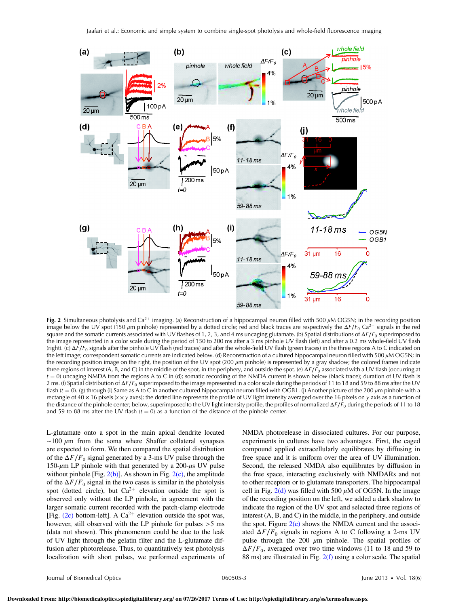

Fig. 2 Simultaneous photolysis and Ca<sup>2+</sup> imaging. (a) Reconstruction of a hippocampal neuron filled with 500  $\mu$ M OG5N; in the recording position image below the UV spot (150 μm pinhole) represented by a dotted circle; red and black traces are respectively the ΔF/F<sub>0</sub> Ca<sup>2+</sup> signals in the red square and the somatic currents associated with UV flashes of 1, 2, 3, and 4 ms uncaging glutamate. (b) Spatial distributions of  $\Delta F/F_0$  superimposed to the image represented in a color scale during the period of 150 to 200 ms after a 3 ms pinhole UV flash (left) and after a 0.2 ms whole-field UV flash (right). (c)  $\Delta F/F_0$  signals after the pinhole UV flash (red traces) and after the whole-field UV flash (green traces) in the three regions A to C indicated on the left image; correspondent somatic currents are indicated below. (d) Reconstruction of a cultured hippocampal neuron filled with 500 μM OG5N; in the recording position image on the right, the position of the UV spot (200  $\mu$ m pinhole) is represented by a gray shadow; the colored frames indicate three regions of interest (A, B, and C) in the middle of the spot, in the periphery, and outside the spot. (e)  $\Delta F/F_0$  associated with a UV flash (occurring at  $t = 0$ ) uncaging NMDA from the regions A to C in (d); somatic recording of the NMDA current is shown below (black trace); duration of UV flash is 2 ms. (f) Spatial distribution of  $\Delta F/F_0$  superimposed to the image represented in a color scale during the periods of 11 to 18 and 59 to 88 ms after the UV flash ( $t = 0$ ). (g) through (i) Same as A to C in another cultured hippocampal neuron filled with OGB1. (j) Another picture of the 200  $\mu$ m pinhole with a rectangle of 40  $\times$  16 pixels ( $x \times y$  axes); the dotted line represents the profile of UV light intensity averaged over the 16 pixels on y axis as a function of the distance of the pinhole center; below, superimposed to the UV light intensity profile, the profiles of normalized  $\Delta F/\dot{F}_0$  during the periods of 11 to 18 and 59 to 88 ms after the UV flash  $(t = 0)$  as a function of the distance of the pinhole center.

L-glutamate onto a spot in the main apical dendrite located  $\sim$ 100  $\mu$ m from the soma where Shaffer collateral synapses are expected to form. We then compared the spatial distribution of the  $\Delta F/F_0$  signal generated by a 3-ms UV pulse through the 150-μm LP pinhole with that generated by a 200-μs UV pulse without pinhole [Fig.  $2(b)$ ]. As shown in Fig.  $2(c)$ , the amplitude of the  $\Delta F/F_0$  signal in the two cases is similar in the photolysis spot (dotted circle), but  $Ca^{2+}$  elevation outside the spot is observed only without the LP pinhole, in agreement with the larger somatic current recorded with the patch-clamp electrode [Fig. (2c) bottom-left]. A  $Ca^{2+}$  elevation outside the spot was, however, still observed with the LP pinhole for pulses  $>5$  ms (data not shown). This phenomenon could be due to the leak of UV light through the gelatin filter and the L-glutamate diffusion after photorelease. Thus, to quantitatively test photolysis localization with short pulses, we performed experiments of NMDA photorelease in dissociated cultures. For our purpose, experiments in cultures have two advantages. First, the caged compound applied extracellularly equilibrates by diffusing in free space and it is uniform over the area of UV illumination. Second, the released NMDA also equilibrates by diffusion in the free space, interacting exclusively with NMDARs and not to other receptors or to glutamate transporters. The hippocampal cell in Fig.  $2(d)$  was filled with 500  $\mu$ M of OG5N. In the image of the recording position on the left, we added a dark shadow to indicate the region of the UV spot and selected three regions of interest (A, B, and C) in the middle, in the periphery, and outside the spot. Figure  $2(e)$  shows the NMDA current and the associated  $\Delta F/F_0$  signals in regions A to C following a 2-ms UV pulse through the 200  $\mu$ m pinhole. The spatial profiles of  $\Delta F/F_0$ , averaged over two time windows (11 to 18 and 59 to 88 ms) are illustrated in Fig. 2(f) using a color scale. The spatial